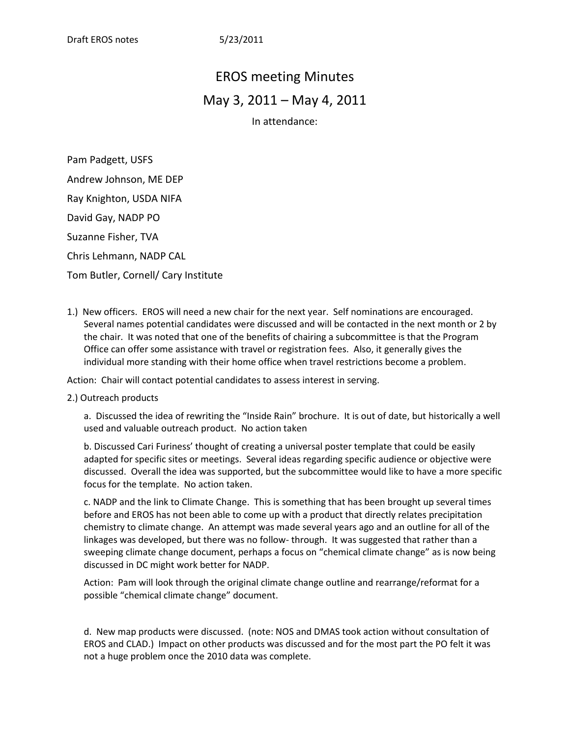## EROS meeting Minutes May 3, 2011 – May 4, 2011

In attendance:

Pam Padgett, USFS Andrew Johnson, ME DEP Ray Knighton, USDA NIFA David Gay, NADP PO Suzanne Fisher, TVA Chris Lehmann, NADP CAL Tom Butler, Cornell/ Cary Institute

1.) New officers. EROS will need a new chair for the next year. Self nominations are encouraged. Several names potential candidates were discussed and will be contacted in the next month or 2 by the chair. It was noted that one of the benefits of chairing a subcommittee is that the Program Office can offer some assistance with travel or registration fees. Also, it generally gives the individual more standing with their home office when travel restrictions become a problem.

Action: Chair will contact potential candidates to assess interest in serving.

2.) Outreach products

a. Discussed the idea of rewriting the "Inside Rain" brochure. It is out of date, but historically a well used and valuable outreach product. No action taken

b. Discussed Cari Furiness' thought of creating a universal poster template that could be easily adapted for specific sites or meetings. Several ideas regarding specific audience or objective were discussed. Overall the idea was supported, but the subcommittee would like to have a more specific focus for the template. No action taken.

c. NADP and the link to Climate Change. This is something that has been brought up several times before and EROS has not been able to come up with a product that directly relates precipitation chemistry to climate change. An attempt was made several years ago and an outline for all of the linkages was developed, but there was no follow- through. It was suggested that rather than a sweeping climate change document, perhaps a focus on "chemical climate change" as is now being discussed in DC might work better for NADP.

Action: Pam will look through the original climate change outline and rearrange/reformat for a possible "chemical climate change" document.

d. New map products were discussed. (note: NOS and DMAS took action without consultation of EROS and CLAD.) Impact on other products was discussed and for the most part the PO felt it was not a huge problem once the 2010 data was complete.